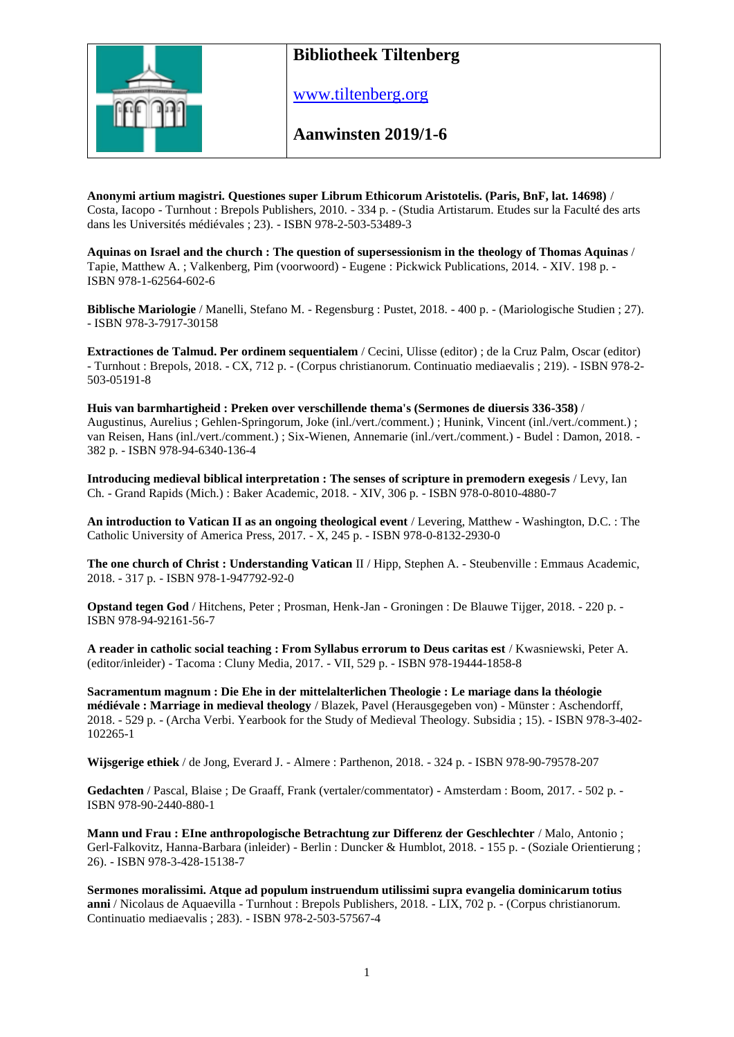

## **Bibliotheek Tiltenberg**

[www.tiltenberg.org](http://www.tiltenberg.org/)

**Aanwinsten 2019/1-6**

**Anonymi artium magistri. Questiones super Librum Ethicorum Aristotelis. (Paris, BnF, lat. 14698)** / Costa, Iacopo - Turnhout : Brepols Publishers, 2010. - 334 p. - (Studia Artistarum. Etudes sur la Faculté des arts dans les Universités médiévales ; 23). - ISBN 978-2-503-53489-3

**Aquinas on Israel and the church : The question of supersessionism in the theology of Thomas Aquinas** / Tapie, Matthew A. ; Valkenberg, Pim (voorwoord) - Eugene : Pickwick Publications, 2014. - XIV. 198 p. - ISBN 978-1-62564-602-6

**Biblische Mariologie** / Manelli, Stefano M. - Regensburg : Pustet, 2018. - 400 p. - (Mariologische Studien ; 27). - ISBN 978-3-7917-30158

**Extractiones de Talmud. Per ordinem sequentialem** / Cecini, Ulisse (editor) ; de la Cruz Palm, Oscar (editor) - Turnhout : Brepols, 2018. - CX, 712 p. - (Corpus christianorum. Continuatio mediaevalis ; 219). - ISBN 978-2- 503-05191-8

**Huis van barmhartigheid : Preken over verschillende thema's (Sermones de diuersis 336-358)** / Augustinus, Aurelius ; Gehlen-Springorum, Joke (inl./vert./comment.) ; Hunink, Vincent (inl./vert./comment.) ; van Reisen, Hans (inl./vert./comment.) ; Six-Wienen, Annemarie (inl./vert./comment.) - Budel : Damon, 2018. - 382 p. - ISBN 978-94-6340-136-4

**Introducing medieval biblical interpretation : The senses of scripture in premodern exegesis** / Levy, Ian Ch. - Grand Rapids (Mich.) : Baker Academic, 2018. - XIV, 306 p. - ISBN 978-0-8010-4880-7

**An introduction to Vatican II as an ongoing theological event** / Levering, Matthew - Washington, D.C. : The Catholic University of America Press, 2017. - X, 245 p. - ISBN 978-0-8132-2930-0

**The one church of Christ : Understanding Vatican** II / Hipp, Stephen A. - Steubenville : Emmaus Academic, 2018. - 317 p. - ISBN 978-1-947792-92-0

**Opstand tegen God** / Hitchens, Peter ; Prosman, Henk-Jan - Groningen : De Blauwe Tijger, 2018. - 220 p. -ISBN 978-94-92161-56-7

**A reader in catholic social teaching : From Syllabus errorum to Deus caritas est** / Kwasniewski, Peter A. (editor/inleider) - Tacoma : Cluny Media, 2017. - VII, 529 p. - ISBN 978-19444-1858-8

**Sacramentum magnum : Die Ehe in der mittelalterlichen Theologie : Le mariage dans la théologie médiévale : Marriage in medieval theology** / Blazek, Pavel (Herausgegeben von) - Münster : Aschendorff, 2018. - 529 p. - (Archa Verbi. Yearbook for the Study of Medieval Theology. Subsidia ; 15). - ISBN 978-3-402- 102265-1

**Wijsgerige ethiek** / de Jong, Everard J. - Almere : Parthenon, 2018. - 324 p. - ISBN 978-90-79578-207

**Gedachten** / Pascal, Blaise ; De Graaff, Frank (vertaler/commentator) - Amsterdam : Boom, 2017. - 502 p. - ISBN 978-90-2440-880-1

**Mann und Frau : EIne anthropologische Betrachtung zur Differenz der Geschlechter** / Malo, Antonio ; Gerl-Falkovitz, Hanna-Barbara (inleider) - Berlin : Duncker & Humblot, 2018. - 155 p. - (Soziale Orientierung ; 26). - ISBN 978-3-428-15138-7

**Sermones moralissimi. Atque ad populum instruendum utilissimi supra evangelia dominicarum totius anni** / Nicolaus de Aquaevilla - Turnhout : Brepols Publishers, 2018. - LIX, 702 p. - (Corpus christianorum. Continuatio mediaevalis ; 283). - ISBN 978-2-503-57567-4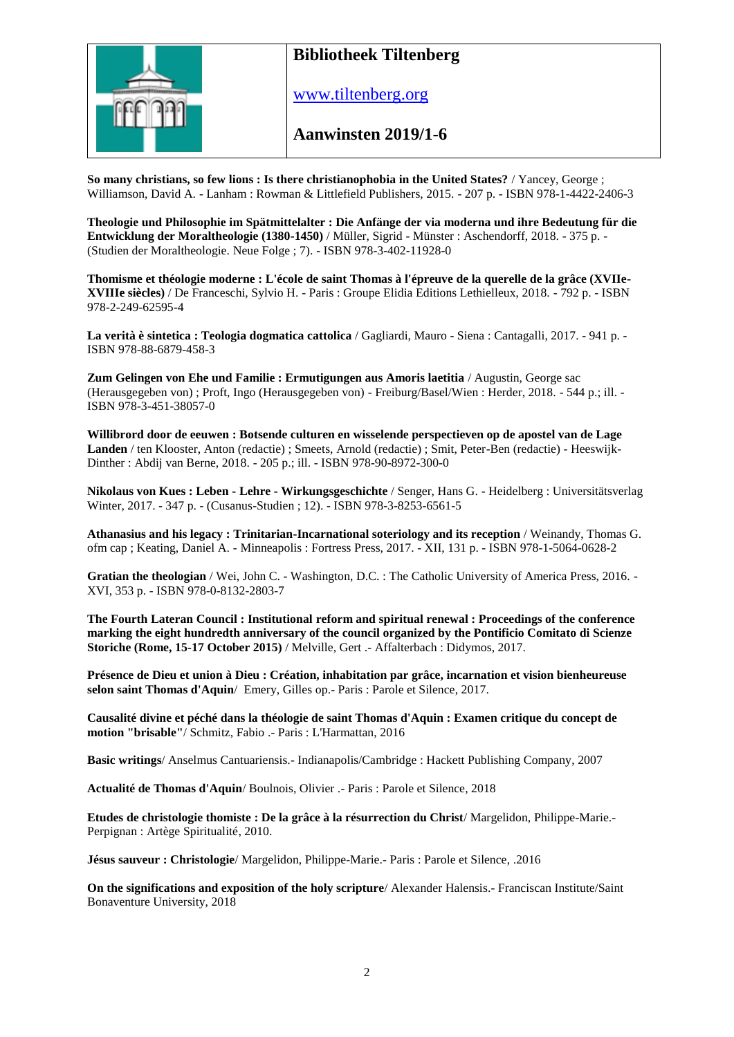

## **Bibliotheek Tiltenberg**

[www.tiltenberg.org](http://www.tiltenberg.org/)

**Aanwinsten 2019/1-6**

**So many christians, so few lions : Is there christianophobia in the United States?** / Yancey, George ; Williamson, David A. - Lanham : Rowman & Littlefield Publishers, 2015. - 207 p. - ISBN 978-1-4422-2406-3

**Theologie und Philosophie im Spätmittelalter : Die Anfänge der via moderna und ihre Bedeutung für die Entwicklung der Moraltheologie (1380-1450)** / Müller, Sigrid - Münster : Aschendorff, 2018. - 375 p. - (Studien der Moraltheologie. Neue Folge ; 7). - ISBN 978-3-402-11928-0

**Thomisme et théologie moderne : L'école de saint Thomas à l'épreuve de la querelle de la grâce (XVIIe-XVIIIe siècles)** / De Franceschi, Sylvio H. - Paris : Groupe Elidia Editions Lethielleux, 2018. - 792 p. - ISBN 978-2-249-62595-4

**La verità è sintetica : Teologia dogmatica cattolica** / Gagliardi, Mauro - Siena : Cantagalli, 2017. - 941 p. - ISBN 978-88-6879-458-3

**Zum Gelingen von Ehe und Familie : Ermutigungen aus Amoris laetitia** / Augustin, George sac (Herausgegeben von) ; Proft, Ingo (Herausgegeben von) - Freiburg/Basel/Wien : Herder, 2018. - 544 p.; ill. - ISBN 978-3-451-38057-0

**Willibrord door de eeuwen : Botsende culturen en wisselende perspectieven op de apostel van de Lage Landen** / ten Klooster, Anton (redactie) ; Smeets, Arnold (redactie) ; Smit, Peter-Ben (redactie) - Heeswijk-Dinther : Abdij van Berne, 2018. - 205 p.; ill. - ISBN 978-90-8972-300-0

**Nikolaus von Kues : Leben - Lehre - Wirkungsgeschichte** / Senger, Hans G. - Heidelberg : Universitätsverlag Winter, 2017. - 347 p. - (Cusanus-Studien ; 12). - ISBN 978-3-8253-6561-5

**Athanasius and his legacy : Trinitarian-Incarnational soteriology and its reception** / Weinandy, Thomas G. ofm cap ; Keating, Daniel A. - Minneapolis : Fortress Press, 2017. - XII, 131 p. - ISBN 978-1-5064-0628-2

**Gratian the theologian** / Wei, John C. - Washington, D.C. : The Catholic University of America Press, 2016. - XVI, 353 p. - ISBN 978-0-8132-2803-7

**The Fourth Lateran Council : Institutional reform and spiritual renewal : Proceedings of the conference marking the eight hundredth anniversary of the council organized by the Pontificio Comitato di Scienze Storiche (Rome, 15-17 October 2015)** / Melville, Gert .- Affalterbach : Didymos, 2017.

**Présence de Dieu et union à Dieu : Création, inhabitation par grâce, incarnation et vision bienheureuse selon saint Thomas d'Aquin**/ Emery, Gilles op.- Paris : Parole et Silence, 2017.

**Causalité divine et péché dans la théologie de saint Thomas d'Aquin : Examen critique du concept de motion "brisable"**/ Schmitz, Fabio .- Paris : L'Harmattan, 2016

**Basic writings**/ Anselmus Cantuariensis.- Indianapolis/Cambridge : Hackett Publishing Company, 2007

**Actualité de Thomas d'Aquin**/ Boulnois, Olivier .- Paris : Parole et Silence, 2018

**Etudes de christologie thomiste : De la grâce à la résurrection du Christ**/ Margelidon, Philippe-Marie.- Perpignan : Artège Spiritualité, 2010.

**Jésus sauveur : Christologie**/ Margelidon, Philippe-Marie.- Paris : Parole et Silence, .2016

**On the significations and exposition of the holy scripture**/ Alexander Halensis.- Franciscan Institute/Saint Bonaventure University, 2018